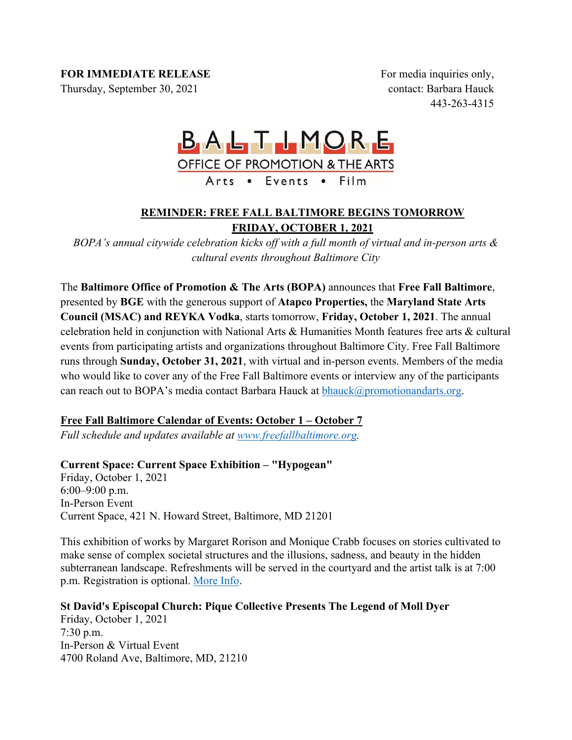## **FOR IMMEDIATE RELEASE**

Thursday, September 30, 2021

For media inquiries only, contact: Barbara Hauck 443-263-4315

# BALTIMORE **OFFICE OF PROMOTION & THE ARTS** Arts . Events . Film

# **REMINDER: FREE FALL BALTIMORE BEGINS TOMORROW FRIDAY, OCTOBER 1, 2021**

*BOPA's annual citywide celebration kicks off with a full month of virtual and in-person arts & cultural events throughout Baltimore City*

The **Baltimore Office of Promotion & The Arts (BOPA)** announces that **Free Fall Baltimore**, presented by **BGE** with the generous support of **Atapco Properties,** the **Maryland State Arts Council (MSAC) and REYKA Vodka**, starts tomorrow, **Friday, October 1, 2021**. The annual celebration held in conjunction with National Arts & Humanities Month features free arts & cultural events from participating artists and organizations throughout Baltimore City. Free Fall Baltimore runs through **Sunday, October 31, 2021**, with virtual and in-person events. Members of the media who would like to cover any of the Free Fall Baltimore events or interview any of the participants can reach out to BOPA's media contact Barbara Hauck at  $b$ hauck $@$ promotionandarts.org.

# **Free Fall Baltimore Calendar of Events: October 1 – October 7**

*Full schedule and updates available at www.freefallbaltimore.org.*

**Current Space: Current Space Exhibition – "Hypogean"**

Friday, October 1, 2021 6:00–9:00 p.m. In-Person Event Current Space, 421 N. Howard Street, Baltimore, MD 21201

This exhibition of works by Margaret Rorison and Monique Crabb focuses on stories cultivated to make sense of complex societal structures and the illusions, sadness, and beauty in the hidden subterranean landscape. Refreshments will be served in the courtyard and the artist talk is at 7:00 p.m. Registration is optional. More Info.

**St David's Episcopal Church: Pique Collective Presents The Legend of Moll Dyer** Friday, October 1, 2021 7:30 p.m. In-Person & Virtual Event 4700 Roland Ave, Baltimore, MD, 21210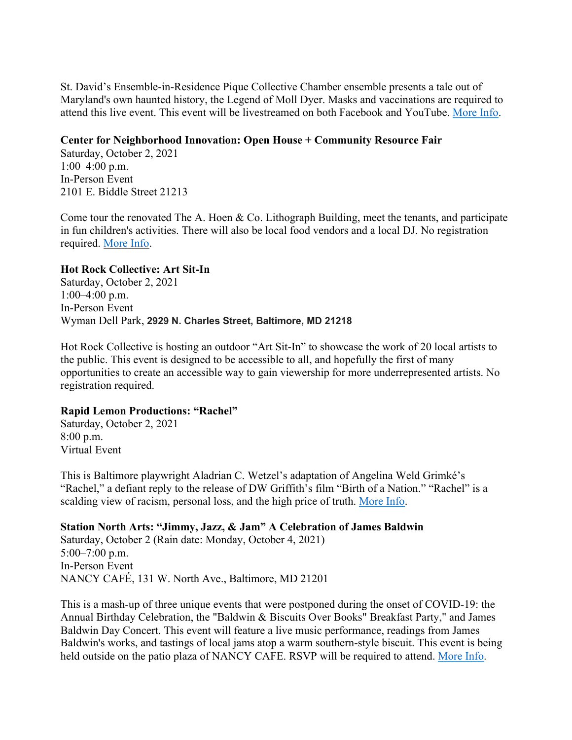St. David's Ensemble-in-Residence Pique Collective Chamber ensemble presents a tale out of Maryland's own haunted history, the Legend of Moll Dyer. Masks and vaccinations are required to attend this live event. This event will be livestreamed on both Facebook and YouTube. More Info.

## **Center for Neighborhood Innovation: Open House + Community Resource Fair**

Saturday, October 2, 2021 1:00–4:00 p.m. In-Person Event 2101 E. Biddle Street 21213

Come tour the renovated The A. Hoen & Co. Lithograph Building, meet the tenants, and participate in fun children's activities. There will also be local food vendors and a local DJ. No registration required. More Info.

## **Hot Rock Collective: Art Sit-In**

Saturday, October 2, 2021 1:00–4:00 p.m. In-Person Event Wyman Dell Park, **2929 N. Charles Street, Baltimore, MD 21218**

Hot Rock Collective is hosting an outdoor "Art Sit-In" to showcase the work of 20 local artists to the public. This event is designed to be accessible to all, and hopefully the first of many opportunities to create an accessible way to gain viewership for more underrepresented artists. No registration required.

## **Rapid Lemon Productions: "Rachel"**

Saturday, October 2, 2021 8:00 p.m. Virtual Event

This is Baltimore playwright Aladrian C. Wetzel's adaptation of Angelina Weld Grimké's "Rachel," a defiant reply to the release of DW Griffith's film "Birth of a Nation." "Rachel" is a scalding view of racism, personal loss, and the high price of truth. More Info.

## **Station North Arts: "Jimmy, Jazz, & Jam" A Celebration of James Baldwin**

Saturday, October 2 (Rain date: Monday, October 4, 2021) 5:00–7:00 p.m. In-Person Event NANCY CAFÉ, 131 W. North Ave., Baltimore, MD 21201

This is a mash-up of three unique events that were postponed during the onset of COVID-19: the Annual Birthday Celebration, the "Baldwin & Biscuits Over Books" Breakfast Party," and James Baldwin Day Concert. This event will feature a live music performance, readings from James Baldwin's works, and tastings of local jams atop a warm southern-style biscuit. This event is being held outside on the patio plaza of NANCY CAFE. RSVP will be required to attend. More Info.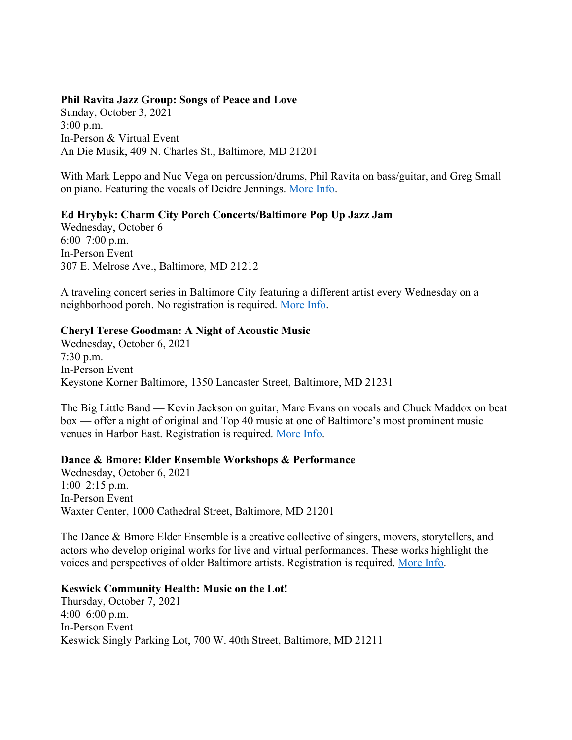#### **Phil Ravita Jazz Group: Songs of Peace and Love**

Sunday, October 3, 2021 3:00 p.m. In-Person & Virtual Event An Die Musik, 409 N. Charles St., Baltimore, MD 21201

With Mark Leppo and Nuc Vega on percussion/drums, Phil Ravita on bass/guitar, and Greg Small on piano. Featuring the vocals of Deidre Jennings. More Info.

#### **Ed Hrybyk: Charm City Porch Concerts/Baltimore Pop Up Jazz Jam**

Wednesday, October 6 6:00–7:00 p.m. In-Person Event 307 E. Melrose Ave., Baltimore, MD 21212

A traveling concert series in Baltimore City featuring a different artist every Wednesday on a neighborhood porch. No registration is required. More Info.

#### **Cheryl Terese Goodman: A Night of Acoustic Music**

Wednesday, October 6, 2021 7:30 p.m. In-Person Event Keystone Korner Baltimore, 1350 Lancaster Street, Baltimore, MD 21231

The Big Little Band — Kevin Jackson on guitar, Marc Evans on vocals and Chuck Maddox on beat box — offer a night of original and Top 40 music at one of Baltimore's most prominent music venues in Harbor East. Registration is required. More Info.

## **Dance & Bmore: Elder Ensemble Workshops & Performance**

Wednesday, October 6, 2021  $1:00-2:15$  p.m. In-Person Event Waxter Center, 1000 Cathedral Street, Baltimore, MD 21201

The Dance & Bmore Elder Ensemble is a creative collective of singers, movers, storytellers, and actors who develop original works for live and virtual performances. These works highlight the voices and perspectives of older Baltimore artists. Registration is required. More Info.

#### **Keswick Community Health: Music on the Lot!**

Thursday, October 7, 2021 4:00–6:00 p.m. In-Person Event Keswick Singly Parking Lot, 700 W. 40th Street, Baltimore, MD 21211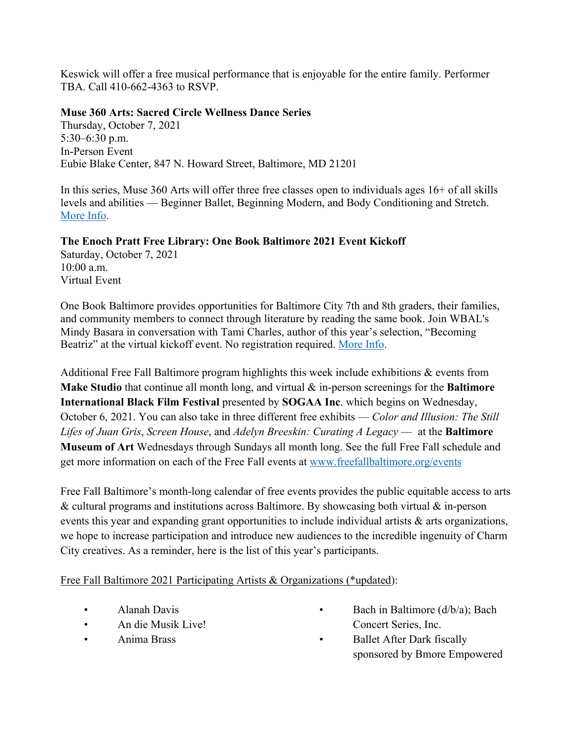Keswick will offer a free musical performance that is enjoyable for the entire family. Performer TBA. Call 410-662-4363 to RSVP.

**Muse 360 Arts: Sacred Circle Wellness Dance Series**

Thursday, October 7, 2021 5:30–6:30 p.m. In-Person Event Eubie Blake Center, 847 N. Howard Street, Baltimore, MD 21201

In this series, Muse 360 Arts will offer three free classes open to individuals ages 16+ of all skills levels and abilities — Beginner Ballet, Beginning Modern, and Body Conditioning and Stretch. More Info.

# **The Enoch Pratt Free Library: One Book Baltimore 2021 Event Kickoff**

Saturday, October 7, 2021 10:00 a.m. Virtual Event

One Book Baltimore provides opportunities for Baltimore City 7th and 8th graders, their families, and community members to connect through literature by reading the same book. Join WBAL's Mindy Basara in conversation with Tami Charles, author of this year's selection, "Becoming Beatriz" at the virtual kickoff event. No registration required. More Info.

Additional Free Fall Baltimore program highlights this week include exhibitions & events from **Make Studio** that continue all month long, and virtual & in-person screenings for the **Baltimore International Black Film Festival** presented by **SOGAA Inc**. which begins on Wednesday, October 6, 2021. You can also take in three different free exhibits — *Color and Illusion: The Still Lifes of Juan Gris*, *Screen House*, and *Adelyn Breeskin: Curating A Legacy* — at the **Baltimore Museum of Art** Wednesdays through Sundays all month long. See the full Free Fall schedule and get more information on each of the Free Fall events at www.freefallbaltimore.org/events

Free Fall Baltimore's month-long calendar of free events provides the public equitable access to arts & cultural programs and institutions across Baltimore. By showcasing both virtual & in-person events this year and expanding grant opportunities to include individual artists & arts organizations, we hope to increase participation and introduce new audiences to the incredible ingenuity of Charm City creatives. As a reminder, here is the list of this year's participants.

Free Fall Baltimore 2021 Participating Artists & Organizations (\*updated):

- Alanah Davis
- An die Musik Live!
- Anima Brass
- Bach in Baltimore (d/b/a); Bach Concert Series, Inc.
- Ballet After Dark fiscally sponsored by Bmore Empowered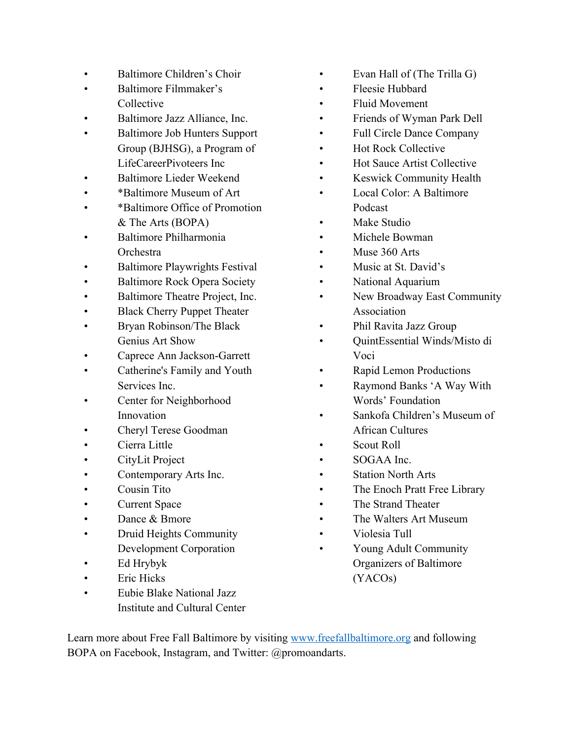- Baltimore Children's Choir
- Baltimore Filmmaker's Collective
- Baltimore Jazz Alliance, Inc.
- Baltimore Job Hunters Support Group (BJHSG), a Program of LifeCareerPivoteers Inc
- Baltimore Lieder Weekend
- \*Baltimore Museum of Art
- \*Baltimore Office of Promotion & The Arts (BOPA)
- Baltimore Philharmonia Orchestra
- Baltimore Playwrights Festival
- Baltimore Rock Opera Society
- Baltimore Theatre Project, Inc.
- Black Cherry Puppet Theater
- Bryan Robinson/The Black Genius Art Show
- Caprece Ann Jackson-Garrett
- Catherine's Family and Youth Services Inc.
- Center for Neighborhood Innovation
- Cheryl Terese Goodman
- Cierra Little
- CityLit Project
- Contemporary Arts Inc.
- Cousin Tito
- Current Space
- Dance & Bmore
- Druid Heights Community Development Corporation
- Ed Hrybyk
- Eric Hicks
- Eubie Blake National Jazz Institute and Cultural Center
- Evan Hall of (The Trilla G)
- Fleesie Hubbard
- Fluid Movement
- Friends of Wyman Park Dell
- Full Circle Dance Company
- Hot Rock Collective
- Hot Sauce Artist Collective
- Keswick Community Health
- Local Color: A Baltimore Podcast
- Make Studio
- Michele Bowman
- Muse 360 Arts
- Music at St. David's
- National Aquarium
- New Broadway East Community Association
- Phil Ravita Jazz Group
- QuintEssential Winds/Misto di Voci
- Rapid Lemon Productions
- Raymond Banks 'A Way With Words' Foundation
- Sankofa Children's Museum of African Cultures
- Scout Roll
- SOGAA Inc.
- Station North Arts
- The Enoch Pratt Free Library
- The Strand Theater
- The Walters Art Museum
- Violesia Tull
- Young Adult Community Organizers of Baltimore (YACOs)

Learn more about Free Fall Baltimore by visiting www.freefallbaltimore.org and following BOPA on Facebook, Instagram, and Twitter: @promoandarts.